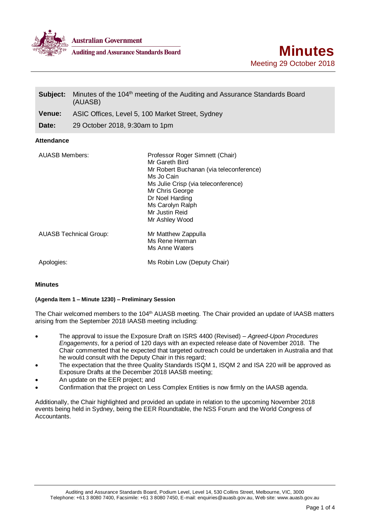

**Australian Government** 

**Auditing and Assurance Standards Board** 

| Subject:              | Minutes of the 104 <sup>th</sup> meeting of the Auditing and Assurance Standards Board<br>(AUASB) |                                                                                                                                                                                                                                                 |
|-----------------------|---------------------------------------------------------------------------------------------------|-------------------------------------------------------------------------------------------------------------------------------------------------------------------------------------------------------------------------------------------------|
| <b>Venue:</b>         | ASIC Offices, Level 5, 100 Market Street, Sydney                                                  |                                                                                                                                                                                                                                                 |
| Date:                 | 29 October 2018, 9:30am to 1pm                                                                    |                                                                                                                                                                                                                                                 |
| <b>Attendance</b>     |                                                                                                   |                                                                                                                                                                                                                                                 |
| <b>AUASB Members:</b> |                                                                                                   | Professor Roger Simnett (Chair)<br>Mr Gareth Bird<br>Mr Robert Buchanan (via teleconference)<br>Ms Jo Cain<br>Ms Julie Crisp (via teleconference)<br>Mr Chris George<br>Dr Noel Harding<br>Ms Carolyn Ralph<br>Mr Justin Reid<br>Mr Ashley Wood |
|                       | <b>AUASB Technical Group:</b>                                                                     | Mr Matthew Zappulla<br>Ms Rene Herman<br>Ms Anne Waters                                                                                                                                                                                         |
| Apologies:            |                                                                                                   | Ms Robin Low (Deputy Chair)                                                                                                                                                                                                                     |

# **Minutes**

### **(Agenda Item 1 – Minute 1230) – Preliminary Session**

The Chair welcomed members to the 104<sup>th</sup> AUASB meeting. The Chair provided an update of IAASB matters arising from the September 2018 IAASB meeting including:

- The approval to issue the Exposure Draft on ISRS 4400 (Revised) *Agreed-Upon Procedures Engagements*, for a period of 120 days with an expected release date of November 2018. The Chair commented that he expected that targeted outreach could be undertaken in Australia and that he would consult with the Deputy Chair in this regard:
- The expectation that the three Quality Standards ISQM 1, ISQM 2 and ISA 220 will be approved as Exposure Drafts at the December 2018 IAASB meeting;
- An update on the EER project; and
- Confirmation that the project on Less Complex Entities is now firmly on the IAASB agenda.

Additionally, the Chair highlighted and provided an update in relation to the upcoming November 2018 events being held in Sydney, being the EER Roundtable, the NSS Forum and the World Congress of Accountants.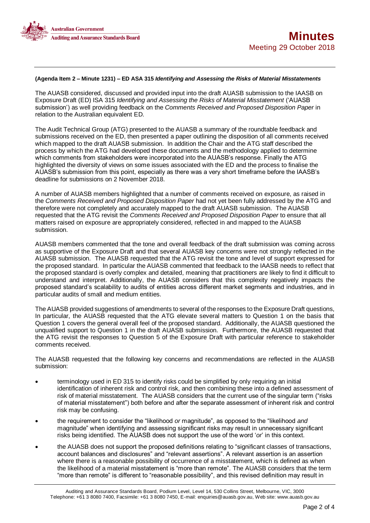

### **(Agenda Item 2 – Minute 1231) – ED ASA 315** *Identifying and Assessing the Risks of Material Misstatements*

The AUASB considered, discussed and provided input into the draft AUASB submission to the IAASB on Exposure Draft (ED) ISA 315 *Identifying and Assessing the Risks of Material Misstatement* ('AUASB submission') as well providing feedback on the *Comments Received and Proposed Disposition Paper* in relation to the Australian equivalent ED*.*

The Audit Technical Group (ATG) presented to the AUASB a summary of the roundtable feedback and submissions received on the ED, then presented a paper outlining the disposition of all comments received which mapped to the draft AUASB submission. In addition the Chair and the ATG staff described the process by which the ATG had developed these documents and the methodology applied to determine which comments from stakeholders were incorporated into the AUASB's response. Finally the ATG highlighted the diversity of views on some issues associated with the ED and the process to finalise the AUASB's submission from this point, especially as there was a very short timeframe before the IAASB's deadline for submissions on 2 November 2018.

A number of AUASB members highlighted that a number of comments received on exposure, as raised in the *Comments Received and Proposed Disposition Paper* had not yet been fully addressed by the ATG and therefore were not completely and accurately mapped to the draft AUASB submission. The AUASB requested that the ATG revisit the *Comments Received and Proposed Disposition Paper* to ensure that all matters raised on exposure are appropriately considered, reflected in and mapped to the AUASB submission.

AUASB members commented that the tone and overall feedback of the draft submission was coming across as supportive of the Exposure Draft and that several AUASB key concerns were not strongly reflected in the AUASB submission. The AUASB requested that the ATG revisit the tone and level of support expressed for the proposed standard. In particular the AUASB commented that feedback to the IAASB needs to reflect that the proposed standard is overly complex and detailed, meaning that practitioners are likely to find it difficult to understand and interpret. Additionally, the AUASB considers that this complexity negatively impacts the proposed standard's scalability to audits of entities across different market segments and industries, and in particular audits of small and medium entities.

The AUASB provided suggestions of amendments to several of the responses to the Exposure Draft questions, In particular, the AUASB requested that the ATG elevate several matters to Question 1 on the basis that Question 1 covers the general overall feel of the proposed standard. Additionally, the AUASB questioned the unqualified support to Question 1 in the draft AUASB submission. Furthermore, the AUASB requested that the ATG revisit the responses to Question 5 of the Exposure Draft with particular reference to stakeholder comments received.

The AUASB requested that the following key concerns and recommendations are reflected in the AUASB submission:

- terminology used in ED 315 to identify risks could be simplified by only requiring an initial identification of inherent risk and control risk, and then combining these into a defined assessment of risk of material misstatement. The AUASB considers that the current use of the singular term ("risks of material misstatement") both before and after the separate assessment of inherent risk and control risk may be confusing.
- the requirement to consider the "likelihood *or* magnitude", as opposed to the "likelihood *and* magnitude" when identifying and assessing significant risks may result in unnecessary significant risks being identified. The AUASB does not support the use of the word '*or*' in this context.
- the AUASB does not support the proposed definitions relating to "significant classes of transactions, account balances and disclosures" and "relevant assertions". A relevant assertion is an assertion where there is a reasonable possibility of occurrence of a misstatement, which is defined as when the likelihood of a material misstatement is "more than remote". The AUASB considers that the term "more than remote" is different to "reasonable possibility", and this revised definition may result in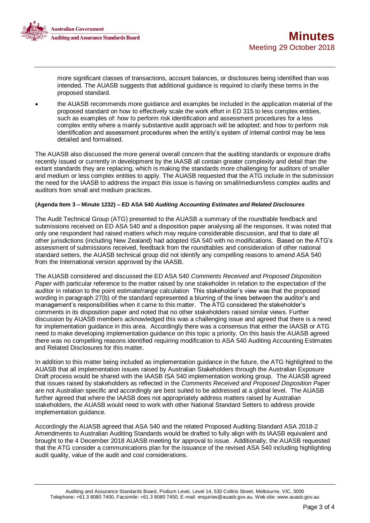

more significant classes of transactions, account balances, or disclosures being identified than was intended. The AUASB suggests that additional guidance is required to clarify these terms in the proposed standard.

 the AUASB recommends more guidance and examples be included in the application material of the proposed standard on how to effectively scale the work effort in ED 315 to less complex entities, such as examples of: how to perform risk identification and assessment procedures for a less complex entity where a mainly substantive audit approach will be adopted; and how to perform risk identification and assessment procedures when the entity's system of internal control may be less detailed and formalised.

The AUASB also discussed the more general overall concern that the auditing standards or exposure drafts recently issued or currently in development by the IAASB all contain greater complexity and detail than the extant standards they are replacing, which is making the standards more challenging for auditors of smaller and medium or less complex entities to apply. The AUASB requested that the ATG include in the submission the need for the IAASB to address the impact this issue is having on small/medium/less complex audits and auditors from small and medium practices.

### **(Agenda Item 3 – Minute 1232) – ED ASA 540** *Auditing Accounting Estimates and Related Disclosures*

The Audit Technical Group (ATG) presented to the AUASB a summary of the roundtable feedback and submissions received on ED ASA 540 and a disposition paper analysing all the responses. It was noted that only one respondent had raised matters which may require considerable discussion, and that to date all other jurisdictions (including New Zealand) had adopted ISA 540 with no modifications. Based on the ATG's assessment of submissions received, feedback from the roundtables and consideration of other national standard setters, the AUASB technical group did not identify any compelling reasons to amend ASA 540 from the International version approved by the IAASB.

The AUASB considered and discussed the ED ASA 540 *Comments Received and Proposed Disposition Paper* with particular reference to the matter raised by one stakeholder in relation to the expectation of the auditor in relation to the point estimate/range calculation This stakeholder's view was that the proposed wording in paragraph 27(b) of the standard represented a blurring of the lines between the auditor's and management's responsibilities when it came to this matter. The ATG considered the stakeholder's comments in its disposition paper and noted that no other stakeholders raised similar views. Further discussion by AUASB members acknowledged this was a challenging issue and agreed that there is a need for implementation guidance in this area. Accordingly there was a consensus that either the IAASB or ATG need to make developing implementation guidance on this topic a priority. On this basis the AUASB agreed there was no compelling reasons identified requiring modification to ASA 540 Auditing Accounting Estimates and Related Disclosures for this matter.

In addition to this matter being included as implementation guidance in the future, the ATG highlighted to the AUASB that all implementation issues raised by Australian Stakeholders through the Australian Exposure Draft process would be shared with the IAASB ISA 540 implementation working group. The AUASB agreed that issues raised by stakeholders as reflected in the *Comments Received and Proposed Disposition Paper* are not Australian specific and accordingly are best suited to be addressed at a global level. The AUASB further agreed that where the IAASB does not appropriately address matters raised by Australian stakeholders, the AUASB would need to work with other National Standard Setters to address provide implementation guidance.

Accordingly the AUASB agreed that ASA 540 and the related Proposed Auditing Standard ASA 2018-2 Amendments to Australian Auditing Standards would be drafted to fully align with its IAASB equivalent and brought to the 4 December 2018 AUASB meeting for approval to issue. Additionally, the AUASB requested that the ATG consider a communications plan for the issuance of the revised ASA 540 including highlighting audit quality, value of the audit and cost considerations.

Auditing and Assurance Standards Board, Podium Level, Level 14, 530 Collins Street, Melbourne, VIC, 3000 Telephone: +61 3 8080 7400, Facsimile: +61 3 8080 7450, E-mail: enquiries@auasb.gov.au, Web site: www.auasb.gov.au